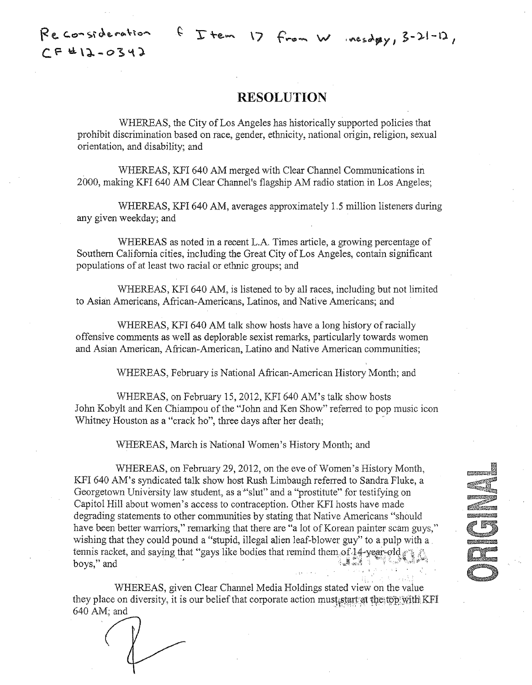$f$   $T$  tem 17 from W nesday, 3-21-12,

 $Re$  consideration **C.r** 'cl\l.-o~"\J.

## **RESOLUTION**

WHEREAS, the City of Los Angeles has historically supported policies that prohibit discrimination based on race, gender, ethnicity, national origin, religion, sexual orientation, and disability; and

WHEREAS, KFI 640 AM merged with Clear Channel Communications in 2000, making K.FI 640 AM Clear Channel's flagship AM radio station in Los Angeles;

WHEREAS, KFI 640 AM, averages approximately 1.5 million listeners during any given weekday; and

WHEREAS as noted in a recent L.A. Times article, a growing percentage of Southern California cities, including the Great City of Los Angeles, contain significant populations of at least two racial or ethnic groups; and

WHEREAS, KFI 640 AM, is listened to by all races, including but not limited to Asian Americans, African-Americans, Latinos, and Native Americans; and

WHEREAS, KFI 640 AM talk show hosts have a long history of racially offensive comments as well as deplorable sexist remarks, particularly towards women and Asian American, African-American, Latino and Native American communities;

WHEREAS, February is National African-American History Month; and

WHEREAS, on February 15, 2012, KFI 640 AM's talk show hosts John Kobylt and Ken Chiampou of the "John and Ken Show" refened to pop music icon Whitney Houston as a "crack ho", three days after her death;

WHEREAS, March is National Women's History Month; and

WHEREAS, on February 29,2012, on the eve of Women's History Month, KFI 640 AM's syndicated talk show host Rush Limbaugh referred to Sandra Fluke, a Georgetown University law student, as a'"slut" and a "prostitute" for testifying on Capitol Hill about women's access to contraception. Other KFI hosts have made degrading statements to other communities by stating that Native Americans "should have been better warriors," remarking that there are "a lot of Korean painter scam guys," wishing that they could pound a "stupid, illegal alien leaf-blower guy" to a pulp with a tennis racket, and saying that "gays like bodies that remind them of  $14$ -year-old,  $*$ boys," and

WHEREAS, given Clear Channel Media Holdings stated view on the value they place on diversity, it is our belief that corporate action must start at the top with KFI 640 AM; and

' '